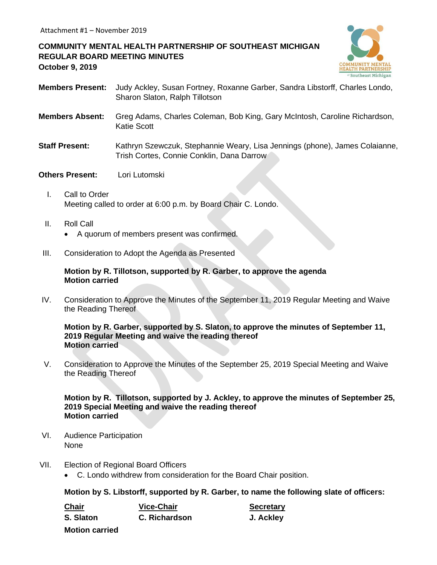# **COMMUNITY MENTAL HEALTH PARTNERSHIP OF SOUTHEAST MICHIGAN REGULAR BOARD MEETING MINUTES October 9, 2019**



- **Members Present:** Judy Ackley, Susan Fortney, Roxanne Garber, Sandra Libstorff, Charles Londo, Sharon Slaton, Ralph Tillotson
- **Members Absent:** Greg Adams, Charles Coleman, Bob King, Gary McIntosh, Caroline Richardson, Katie Scott
- **Staff Present:** Kathryn Szewczuk, Stephannie Weary, Lisa Jennings (phone), James Colaianne, Trish Cortes, Connie Conklin, Dana Darrow

### **Others Present:** Lori Lutomski

- I. Call to Order Meeting called to order at 6:00 p.m. by Board Chair C. Londo.
- II. Roll Call
	- A quorum of members present was confirmed.
- III. Consideration to Adopt the Agenda as Presented

### **Motion by R. Tillotson, supported by R. Garber, to approve the agenda Motion carried**

IV. Consideration to Approve the Minutes of the September 11, 2019 Regular Meeting and Waive the Reading Thereof

#### **Motion by R. Garber, supported by S. Slaton, to approve the minutes of September 11, 2019 Regular Meeting and waive the reading thereof Motion carried**

V. Consideration to Approve the Minutes of the September 25, 2019 Special Meeting and Waive the Reading Thereof

### **Motion by R. Tillotson, supported by J. Ackley, to approve the minutes of September 25, 2019 Special Meeting and waive the reading thereof Motion carried**

- VI. Audience Participation None
- VII. Election of Regional Board Officers
	- C. Londo withdrew from consideration for the Board Chair position.

**Motion by S. Libstorff, supported by R. Garber, to name the following slate of officers:**

| <b>Chair</b>          | <b>Vice-Chair</b> | <b>Secretary</b> |
|-----------------------|-------------------|------------------|
| S. Slaton             | C. Richardson     | J. Ackley        |
| <b>Motion carried</b> |                   |                  |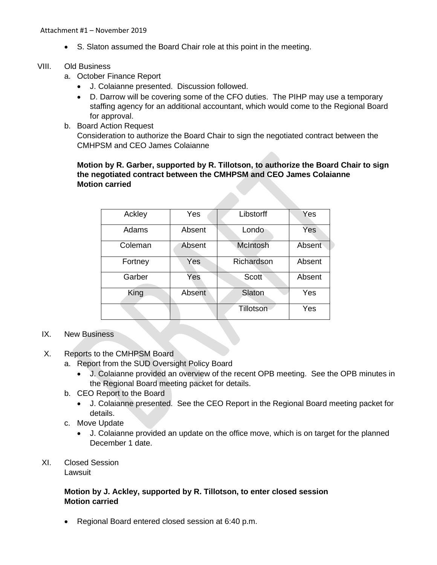• S. Slaton assumed the Board Chair role at this point in the meeting.

### VIII. Old Business

- a. October Finance Report
	- J. Colaianne presented. Discussion followed.
	- D. Darrow will be covering some of the CFO duties. The PIHP may use a temporary staffing agency for an additional accountant, which would come to the Regional Board for approval.
- b. Board Action Request Consideration to authorize the Board Chair to sign the negotiated contract between the CMHPSM and CEO James Colaianne

# **Motion by R. Garber, supported by R. Tillotson, to authorize the Board Chair to sign the negotiated contract between the CMHPSM and CEO James Colaianne Motion carried**

| Ackley  | Yes    | Libstorff        | Yes    |
|---------|--------|------------------|--------|
| Adams   | Absent | Londo            | Yes    |
| Coleman | Absent | <b>McIntosh</b>  | Absent |
| Fortney | Yes    | Richardson       | Absent |
| Garber  | Yes    | Scott            | Absent |
| King    | Absent | Slaton           | Yes    |
|         |        | <b>Tillotson</b> | Yes    |

# IX. New Business

- X. Reports to the CMHPSM Board
	- a. Report from the SUD Oversight Policy Board
		- J. Colaianne provided an overview of the recent OPB meeting. See the OPB minutes in the Regional Board meeting packet for details.
	- b. CEO Report to the Board
		- J. Colaianne presented. See the CEO Report in the Regional Board meeting packet for details.
	- c. Move Update
		- J. Colaianne provided an update on the office move, which is on target for the planned December 1 date.
- XI. Closed Session

Lawsuit

## **Motion by J. Ackley, supported by R. Tillotson, to enter closed session Motion carried**

• Regional Board entered closed session at 6:40 p.m.